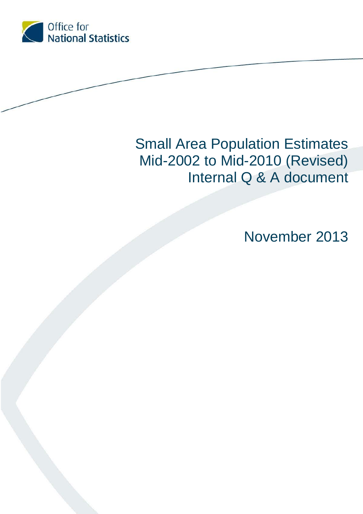

# Small Area Population Estimates Mid-2002 to Mid-2010 (Revised) Internal Q & A document

November 2013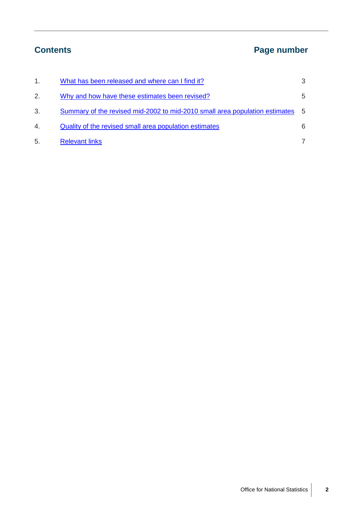## **Contents Page number**

| 1. | What has been released and where can I find it?                             | 3   |
|----|-----------------------------------------------------------------------------|-----|
| 2. | Why and how have these estimates been revised?                              | 5   |
| 3. | Summary of the revised mid-2002 to mid-2010 small area population estimates | - 5 |
| 4. | Quality of the revised small area population estimates                      | 6   |
| 5. | <b>Relevant links</b>                                                       |     |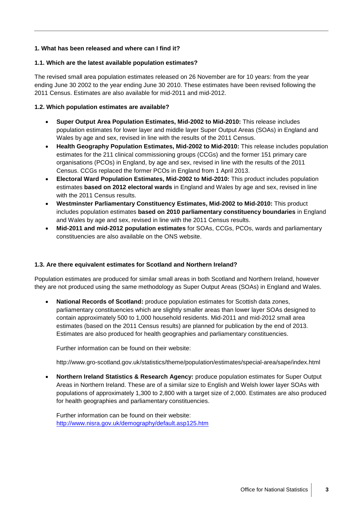#### <span id="page-2-0"></span>**1. What has been released and where can I find it?**

#### **1.1. Which are the latest available population estimates?**

The revised small area population estimates released on 26 November are for 10 years: from the year ending June 30 2002 to the year ending June 30 2010. These estimates have been revised following the 2011 Census. Estimates are also available for mid-2011 and mid-2012.

#### **1.2. Which population estimates are available?**

- **Super Output Area Population Estimates, Mid-2002 to Mid-2010:** This release includes population estimates for lower layer and middle layer Super Output Areas (SOAs) in England and Wales by age and sex, revised in line with the results of the 2011 Census.
- **Health Geography Population Estimates, Mid-2002 to Mid-2010:** This release includes population estimates for the 211 clinical commissioning groups (CCGs) and the former 151 primary care organisations (PCOs) in England, by age and sex, revised in line with the results of the 2011 Census. CCGs replaced the former PCOs in England from 1 April 2013.
- **Electoral Ward Population Estimates, Mid-2002 to Mid-2010:** This product includes population estimates **based on 2012 electoral wards** in England and Wales by age and sex, revised in line with the 2011 Census results.
- **Westminster Parliamentary Constituency Estimates, Mid-2002 to Mid-2010:** This product includes population estimates **based on 2010 parliamentary constituency boundaries** in England and Wales by age and sex, revised in line with the 2011 Census results.
- **Mid-2011 and mid-2012 population estimates** for SOAs, CCGs, PCOs, wards and parliamentary constituencies are also available on the ONS website.

#### **1.3. Are there equivalent estimates for Scotland and Northern Ireland?**

Population estimates are produced for similar small areas in both Scotland and Northern Ireland, however they are not produced using the same methodology as Super Output Areas (SOAs) in England and Wales.

• **National Records of Scotland:** produce population estimates for Scottish data zones, parliamentary constituencies which are slightly smaller areas than lower layer SOAs designed to contain approximately 500 to 1,000 household residents. Mid-2011 and mid-2012 small area estimates (based on the 2011 Census results) are planned for publication by the end of 2013. Estimates are also produced for health geographies and parliamentary constituencies.

Further information can be found on their website:

http://www.gro-scotland.gov.uk/statistics/theme/population/estimates/special-area/sape/index.html

• **Northern Ireland Statistics & Research Agency:** produce population estimates for Super Output Areas in Northern Ireland. These are of a similar size to English and Welsh lower layer SOAs with populations of approximately 1,300 to 2,800 with a target size of 2,000. Estimates are also produced for health geographies and parliamentary constituencies.

Further information can be found on their website: <http://www.nisra.gov.uk/demography/default.asp125.htm>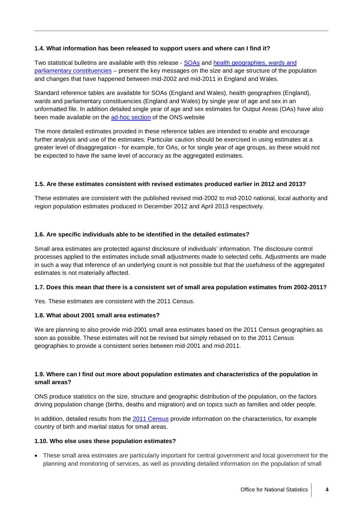#### **1.4. What information has been released to support users and where can I find it?**

Two statistical bulletins are available with this release - [SOAs](http://www.ons.gov.uk/ons/rel/sape/soa-mid-year-pop-est-engl-wales-exp/mid-2002-to-mid-2010-revised/stb---super-output-area-population-estimates--mid-2002-to-mid-2010--revised-.html#tab-How-much-have-the-estimates-changed-) and health geographies, wards and [parliamentary constituencies](http://www.ons.gov.uk/ons/rel/sape/ward-mid-year-pop-est-eng-wales-exp/mid-2002-to-mid-2010-revised/stb---other-small-area-population-estimates--mid-2002-to-mid-2010.html#tab-How-much-have-the-estimates-changed-) – present the key messages on the size and age structure of the population and changes that have happened between mid-2002 and mid-2011 in England and Wales.

Standard reference tables are available for SOAs (England and Wales), health geographies (England), wards and parliamentary constituencies (England and Wales) by single year of age and sex in an unformatted file. In addition detailed single year of age and sex estimates for Output Areas (OAs) have also been made available on the [ad-hoc section](http://www.ons.gov.uk/ons/about-ons/business-transparency/freedom-of-information/what-can-i-request/published-ad-hoc-data/pop/november-2013/index.html) of the ONS website

The more detailed estimates provided in these reference tables are intended to enable and encourage further analysis and use of the estimates. Particular caution should be exercised in using estimates at a greater level of disaggregation - for example, for OAs, or for single year of age groups, as these would not be expected to have the same level of accuracy as the aggregated estimates.

#### **1.5. Are these estimates consistent with revised estimates produced earlier in 2012 and 2013?**

These estimates are consistent with the published revised mid-2002 to mid-2010 national, local authority and region population estimates produced in December 2012 and April 2013 respectively.

#### **1.6. Are specific individuals able to be identified in the detailed estimates?**

Small area estimates are protected against disclosure of individuals' information. The disclosure control processes applied to the estimates include small adjustments made to selected cells. Adjustments are made in such a way that inference of an underlying count is not possible but that the usefulness of the aggregated estimates is not materially affected.

#### **1.7. Does this mean that there is a consistent set of small area population estimates from 2002-2011?**

Yes. These estimates are consistent with the 2011 Census.

#### **1.8. What about 2001 small area estimates?**

We are planning to also provide mid-2001 small area estimates based on the 2011 Census geographies as soon as possible. These estimates will not be revised but simply rebased on to the 2011 Census geographies to provide a consistent series between mid-2001 and mid-2011.

### **1.9. Where can I find out more about population estimates and characteristics of the population in small areas?**

ONS produce statistics on the size, structure and geographic distribution of the population, on the factors driving population change (births, deaths and migration) and on topics such as families and older people.

In addition, detailed results from the [2011 Census](http://www.ons.gov.uk/ons/guide-method/census/2011/index.html) provide information on the characteristics, for example country of birth and marital status for small areas.

#### **1.10. Who else uses these population estimates?**

• These small area estimates are particularly important for central government and local government for the planning and monitoring of services, as well as providing detailed information on the population of small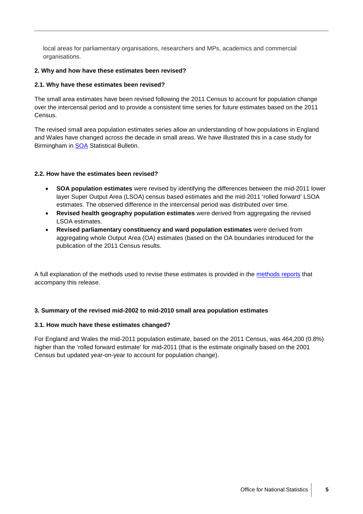local areas for parliamentary organisations, researchers and MPs, academics and commercial organisations.

#### <span id="page-4-0"></span>**2. Why and how have these estimates been revised?**

#### **2.1. Why have these estimates been revised?**

The small area estimates have been revised following the 2011 Census to account for population change over the intercensal period and to provide a consistent time series for future estimates based on the 2011 Census.

The revised small area population estimates series allow an understanding of how populations in England and Wales have changed across the decade in small areas. We have illustrated this in a case study for Birmingham in [SOA](http://www.ons.gov.uk/ons/rel/sape/soa-mid-year-pop-est-engl-wales-exp/mid-2002-to-mid-2010-revised/stb---super-output-area-population-estimates--mid-2002-to-mid-2010--revised-.html#tab-Case-Study--How-much-have-the-estimates-changed-in-Birmingham-local-au) Statistical Bulletin.

#### **2.2. How have the estimates been revised?**

- **SOA population estimates** were revised by identifying the differences between the mid-2011 lower layer Super Output Area (LSOA) census based estimates and the mid-2011 'rolled forward' LSOA estimates. The observed difference in the intercensal period was distributed over time.
- **Revised health geography population estimates** were derived from aggregating the revised LSOA estimates.
- **Revised parliamentary constituency and ward population estimates** were derived from aggregating whole Output Area (OA) estimates (based on the OA boundaries introduced for the publication of the 2011 Census results.

A full explanation of the methods used to revise these estimates is provided in the [methods reports](http://www.ons.gov.uk/ons/guide-method/method-quality/specific/population-and-migration/pop-ests/index.html) that accompany this release.

#### <span id="page-4-1"></span>**3. Summary of the revised mid-2002 to mid-2010 small area population estimates**

#### **3.1. How much have these estimates changed?**

For England and Wales the mid-2011 population estimate, based on the 2011 Census, was 464,200 (0.8%) higher than the 'rolled forward estimate' for mid-2011 (that is the estimate originally based on the 2001 Census but updated year-on-year to account for population change).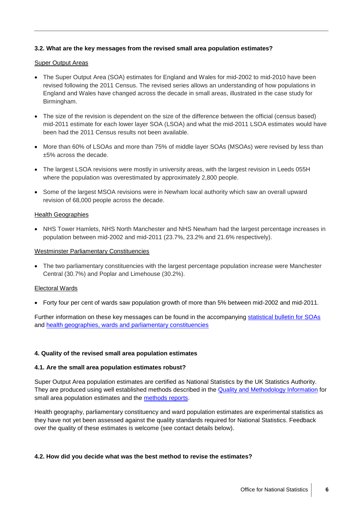#### **3.2. What are the key messages from the revised small area population estimates?**

#### **Super Output Areas**

- The Super Output Area (SOA) estimates for England and Wales for mid-2002 to mid-2010 have been revised following the 2011 Census. The revised series allows an understanding of how populations in England and Wales have changed across the decade in small areas, illustrated in the case study for Birmingham.
- The size of the revision is dependent on the size of the difference between the official (census based) mid-2011 estimate for each lower layer SOA (LSOA) and what the mid-2011 LSOA estimates would have been had the 2011 Census results not been available.
- More than 60% of LSOAs and more than 75% of middle layer SOAs (MSOAs) were revised by less than ±5% across the decade.
- The largest LSOA revisions were mostly in university areas, with the largest revision in Leeds 055H where the population was overestimated by approximately 2,800 people.
- Some of the largest MSOA revisions were in Newham local authority which saw an overall upward revision of 68,000 people across the decade.

#### **Health Geographies**

• NHS Tower Hamlets, NHS North Manchester and NHS Newham had the largest percentage increases in population between mid-2002 and mid-2011 (23.7%, 23.2% and 21.6% respectively).

#### Westminster Parliamentary Constituencies

• The two parliamentary constituencies with the largest percentage population increase were Manchester Central (30.7%) and Poplar and Limehouse (30.2%).

#### Electoral Wards

• Forty four per cent of wards saw population growth of more than 5% between mid-2002 and mid-2011.

Further information on these key messages can be found in the accompanying [statistical bulletin for SOAs](http://www.ons.gov.uk/ons/rel/sape/soa-mid-year-pop-est-engl-wales-exp/mid-2002-to-mid-2010-revised/stb---super-output-area-population-estimates--mid-2002-to-mid-2010--revised-.html) and [health geographies, wards and parliamentary constituencies](http://www.ons.gov.uk/ons/rel/sape/ward-mid-year-pop-est-eng-wales-exp/mid-2002-to-mid-2010-revised/stb---other-small-area-population-estimates--mid-2002-to-mid-2010.html)

#### <span id="page-5-0"></span>**4. Quality of the revised small area population estimates**

#### **4.1. Are the small area population estimates robust?**

Super Output Area population estimates are certified as National Statistics by the UK Statistics Authority. They are produced using well established methods described in the [Quality and Methodology Information](http://www.ons.gov.uk/ons/guide-method/method-quality/quality/quality-information/population/index.html) for small area population estimates and the [methods reports.](http://www.ons.gov.uk/ons/guide-method/method-quality/specific/population-and-migration/pop-ests/index.html)

Health geography, parliamentary constituency and ward population estimates are experimental statistics as they have not yet been assessed against the quality standards required for National Statistics. Feedback over the quality of these estimates is welcome (see contact details below).

#### **4.2. How did you decide what was the best method to revise the estimates?**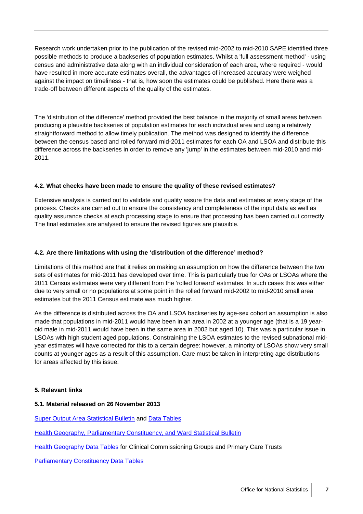Research work undertaken prior to the publication of the revised mid-2002 to mid-2010 SAPE identified three possible methods to produce a backseries of population estimates. Whilst a 'full assessment method' - using census and administrative data along with an individual consideration of each area, where required - would have resulted in more accurate estimates overall, the advantages of increased accuracy were weighed against the impact on timeliness - that is, how soon the estimates could be published. Here there was a trade-off between different aspects of the quality of the estimates.

The 'distribution of the difference' method provided the best balance in the majority of small areas between producing a plausible backseries of population estimates for each individual area and using a relatively straightforward method to allow timely publication. The method was designed to identify the difference between the census based and rolled forward mid-2011 estimates for each OA and LSOA and distribute this difference across the backseries in order to remove any 'jump' in the estimates between mid-2010 and mid-2011.

#### **4.2. What checks have been made to ensure the quality of these revised estimates?**

Extensive analysis is carried out to validate and quality assure the data and estimates at every stage of the process. Checks are carried out to ensure the consistency and completeness of the input data as well as quality assurance checks at each processing stage to ensure that processing has been carried out correctly. The final estimates are analysed to ensure the revised figures are plausible.

#### **4.2. Are there limitations with using the 'distribution of the difference' method?**

Limitations of this method are that it relies on making an assumption on how the difference between the two sets of estimates for mid-2011 has developed over time. This is particularly true for OAs or LSOAs where the 2011 Census estimates were very different from the 'rolled forward' estimates. In such cases this was either due to very small or no populations at some point in the rolled forward mid-2002 to mid-2010 small area estimates but the 2011 Census estimate was much higher.

As the difference is distributed across the OA and LSOA backseries by age-sex cohort an assumption is also made that populations in mid-2011 would have been in an area in 2002 at a younger age (that is a 19 yearold male in mid-2011 would have been in the same area in 2002 but aged 10). This was a particular issue in LSOAs with high student aged populations. Constraining the LSOA estimates to the revised subnational midyear estimates will have corrected for this to a certain degree: however, a minority of LSOAs show very small counts at younger ages as a result of this assumption. Care must be taken in interpreting age distributions for areas affected by this issue.

#### <span id="page-6-0"></span>**5. Relevant links**

#### **5.1. Material released on 26 November 2013**

[Super Output Area Statistical Bulletin](http://www.ons.gov.uk/ons/rel/sape/soa-mid-year-pop-est-engl-wales-exp/mid-2002-to-mid-2010-revised/stb---super-output-area-population-estimates--mid-2002-to-mid-2010--revised-.html) and [Data Tables](http://www.ons.gov.uk/ons/publications/re-reference-tables.html?edition=tcm%3A77-285154)

[Health Geography, Parliamentary Constituency, and Ward Statistical Bulletin](http://www.ons.gov.uk/ons/rel/sape/ward-mid-year-pop-est-eng-wales-exp/mid-2002-to-mid-2010-revised/stb---other-small-area-population-estimates--mid-2002-to-mid-2010.html)

[Health Geography Data Tables](http://www.ons.gov.uk/ons/publications/re-reference-tables.html?edition=tcm%3A77-325749) for Clinical Commissioning Groups and Primary Care Trusts

[Parliamentary Constituency Data Tables](http://www.ons.gov.uk/ons/publications/re-reference-tables.html?edition=tcm%3A77-328851)